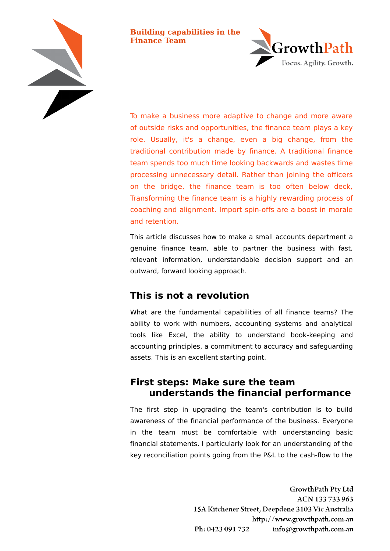

**Building capabilities in the Finance Team**



To make a business more adaptive to change and more aware of outside risks and opportunities, the finance team plays a key role. Usually, it's a change, even a big change, from the traditional contribution made by finance. A traditional finance team spends too much time looking backwards and wastes time processing unnecessary detail. Rather than joining the officers on the bridge, the finance team is too often below deck, Transforming the finance team is a highly rewarding process of coaching and alignment. Import spin-offs are a boost in morale and retention.

This article discusses how to make a small accounts department a genuine finance team, able to partner the business with fast, relevant information, understandable decision support and an outward, forward looking approach.

# **This is not a revolution**

What are the fundamental capabilities of all finance teams? The ability to work with numbers, accounting systems and analytical tools like Excel, the ability to understand book-keeping and accounting principles, a commitment to accuracy and safeguarding assets. This is an excellent starting point.

### **First steps: Make sure the team understands the financial performance**

The first step in upgrading the team's contribution is to build awareness of the financial performance of the business. Everyone in the team must be comfortable with understanding basic financial statements. I particularly look for an understanding of the key reconciliation points going from the P&L to the cash-flow to the

> **GrowthPath Pty Ltd** ACN 133 733 963 15A Kitchener Street, Deepdene 3103 Vic Australia http://www.growthpath.com.au Ph: 0423 091 732 info@growthpath.com.au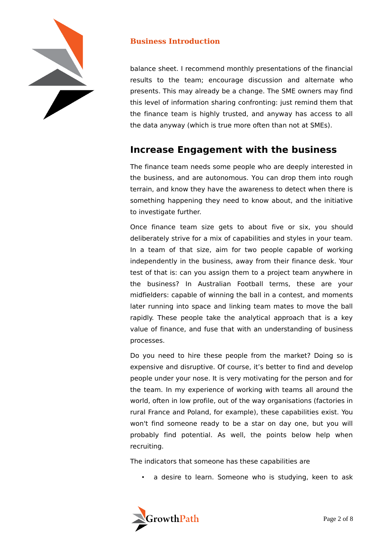

balance sheet. I recommend monthly presentations of the financial results to the team; encourage discussion and alternate who presents. This may already be a change. The SME owners may find this level of information sharing confronting: just remind them that the finance team is highly trusted, and anyway has access to all the data anyway (which is true more often than not at SMEs).

# **Increase Engagement with the business**

The finance team needs some people who are deeply interested in the business, and are autonomous. You can drop them into rough terrain, and know they have the awareness to detect when there is something happening they need to know about, and the initiative to investigate further.

Once finance team size gets to about five or six, you should deliberately strive for a mix of capabilities and styles in your team. In a team of that size, aim for two people capable of working independently in the business, away from their finance desk. Your test of that is: can you assign them to a project team anywhere in the business? In Australian Football terms, these are your midfielders: capable of winning the ball in a contest, and moments later running into space and linking team mates to move the ball rapidly. These people take the analytical approach that is a key value of finance, and fuse that with an understanding of business processes.

Do you need to hire these people from the market? Doing so is expensive and disruptive. Of course, it's better to find and develop people under your nose. It is very motivating for the person and for the team. In my experience of working with teams all around the world, often in low profile, out of the way organisations (factories in rural France and Poland, for example), these capabilities exist. You won't find someone ready to be a star on day one, but you will probably find potential. As well, the points below help when recruiting.

The indicators that someone has these capabilities are

• a desire to learn. Someone who is studying, keen to ask

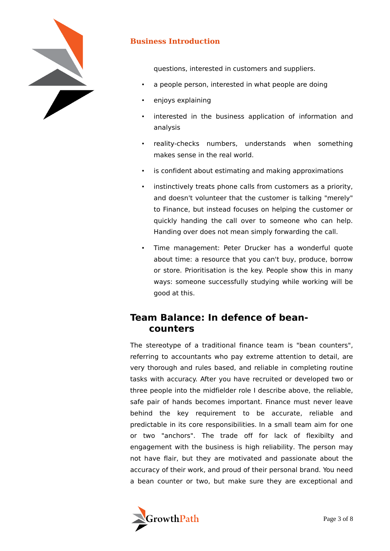

questions, interested in customers and suppliers.

- a people person, interested in what people are doing
- enjoys explaining
- interested in the business application of information and analysis
- reality-checks numbers, understands when something makes sense in the real world.
- is confident about estimating and making approximations
- instinctively treats phone calls from customers as a priority, and doesn't volunteer that the customer is talking "merely" to Finance, but instead focuses on helping the customer or quickly handing the call over to someone who can help. Handing over does not mean simply forwarding the call.
- Time management: Peter Drucker has a wonderful quote about time: a resource that you can't buy, produce, borrow or store. Prioritisation is the key. People show this in many ways: someone successfully studying while working will be good at this.

## **Team Balance: In defence of beancounters**

The stereotype of a traditional finance team is "bean counters", referring to accountants who pay extreme attention to detail, are very thorough and rules based, and reliable in completing routine tasks with accuracy. After you have recruited or developed two or three people into the midfielder role I describe above, the reliable, safe pair of hands becomes important. Finance must never leave behind the key requirement to be accurate, reliable and predictable in its core responsibilities. In a small team aim for one or two "anchors". The trade off for lack of flexibilty and engagement with the business is high reliability. The person may not have flair, but they are motivated and passionate about the accuracy of their work, and proud of their personal brand. You need a bean counter or two, but make sure they are exceptional and

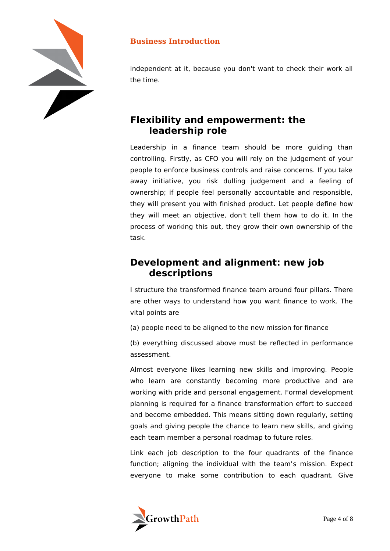

independent at it, because you don't want to check their work all the time.

# **Flexibility and empowerment: the leadership role**

Leadership in a finance team should be more guiding than controlling. Firstly, as CFO you will rely on the judgement of your people to enforce business controls and raise concerns. If you take away initiative, you risk dulling judgement and a feeling of ownership; if people feel personally accountable and responsible, they will present you with finished product. Let people define how they will meet an objective, don't tell them how to do it. In the process of working this out, they grow their own ownership of the task.

## **Development and alignment: new job descriptions**

I structure the transformed finance team around four pillars. There are other ways to understand how you want finance to work. The vital points are

(a) people need to be aligned to the new mission for finance

(b) everything discussed above must be reflected in performance assessment.

Almost everyone likes learning new skills and improving. People who learn are constantly becoming more productive and are working with pride and personal engagement. Formal development planning is required for a finance transformation effort to succeed and become embedded. This means sitting down regularly, setting goals and giving people the chance to learn new skills, and giving each team member a personal roadmap to future roles.

Link each job description to the four quadrants of the finance function; aligning the individual with the team's mission. Expect everyone to make some contribution to each quadrant. Give

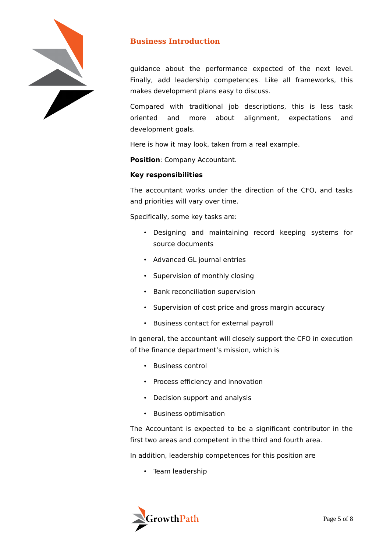

guidance about the performance expected of the next level. Finally, add leadership competences. Like all frameworks, this makes development plans easy to discuss.

Compared with traditional job descriptions, this is less task oriented and more about alignment, expectations and development goals.

Here is how it may look, taken from a real example.

**Position**: Company Accountant.

#### **Key responsibilities**

The accountant works under the direction of the CFO, and tasks and priorities will vary over time.

Specifically, some key tasks are:

- Designing and maintaining record keeping systems for source documents
- Advanced GL journal entries
- Supervision of monthly closing
- Bank reconciliation supervision
- Supervision of cost price and gross margin accuracy
- Business contact for external payroll

In general, the accountant will closely support the CFO in execution of the finance department's mission, which is

- Business control
- Process efficiency and innovation
- Decision support and analysis
- Business optimisation

The Accountant is expected to be a significant contributor in the first two areas and competent in the third and fourth area.

In addition, leadership competences for this position are

• Team leadership

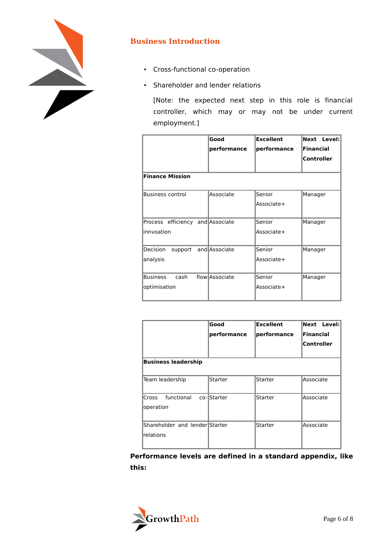

- Cross-functional co-operation
- Shareholder and lender relations

[Note: the expected next step in this role is financial controller, which may or may not be under current employment.]

|                                  | Good           | <b>Excellent</b> | Next Level:       |  |
|----------------------------------|----------------|------------------|-------------------|--|
|                                  | performance    | performance      | <b>Financial</b>  |  |
|                                  |                |                  | <b>Controller</b> |  |
|                                  |                |                  |                   |  |
| <b>Finance Mission</b>           |                |                  |                   |  |
|                                  |                |                  |                   |  |
| <b>Business control</b>          | Associate      | Senior           | Manager           |  |
|                                  |                | Associate+       |                   |  |
|                                  |                |                  |                   |  |
| Process efficiency and Associate |                | Senior           | Manager           |  |
| innvoation                       |                | Associate+       |                   |  |
|                                  |                |                  |                   |  |
| Decision<br>support              | and Associate  | Senior           | Manager           |  |
| analysis                         |                | Associate+       |                   |  |
|                                  |                |                  |                   |  |
| <b>Business</b><br>cash          | flow Associate | Senior           | Manager           |  |
| optimisation                     |                | Associate+       |                   |  |
|                                  |                |                  |                   |  |

| <b>Business leadership</b>                  | Good<br>performance | <b>Excellent</b><br>performance | Next Level:<br><b>Financial</b><br>Controller |
|---------------------------------------------|---------------------|---------------------------------|-----------------------------------------------|
| Team leadership                             | <b>Starter</b>      | <b>Starter</b>                  | Associate                                     |
|                                             |                     |                                 |                                               |
| functional co-Starter<br>Cross<br>operation |                     | Starter                         | Associate                                     |
| Shareholder and lender Starter<br>relations |                     | Starter                         | Associate                                     |

**Performance levels are defined in a standard appendix, like this:**

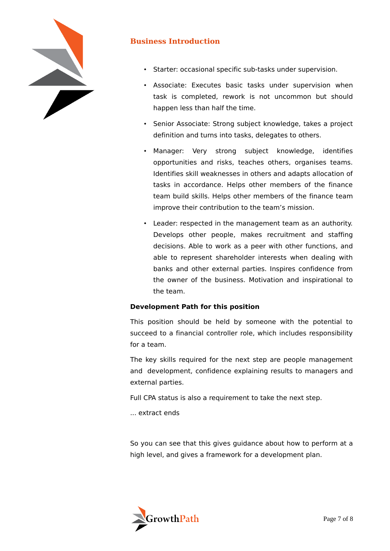

- Starter: occasional specific sub-tasks under supervision.
- Associate: Executes basic tasks under supervision when task is completed, rework is not uncommon but should happen less than half the time.
- Senior Associate: Strong subject knowledge, takes a project definition and turns into tasks, delegates to others.
- Manager: Very strong subject knowledge, identifies opportunities and risks, teaches others, organises teams. Identifies skill weaknesses in others and adapts allocation of tasks in accordance. Helps other members of the finance team build skills. Helps other members of the finance team improve their contribution to the team's mission.
- Leader: respected in the management team as an authority. Develops other people, makes recruitment and staffing decisions. Able to work as a peer with other functions, and able to represent shareholder interests when dealing with banks and other external parties. Inspires confidence from the owner of the business. Motivation and inspirational to the team.

#### **Development Path for this position**

This position should be held by someone with the potential to succeed to a financial controller role, which includes responsibility for a team.

The key skills required for the next step are people management and development, confidence explaining results to managers and external parties.

Full CPA status is also a requirement to take the next step.

... extract ends

So you can see that this gives guidance about how to perform at a high level, and gives a framework for a development plan.